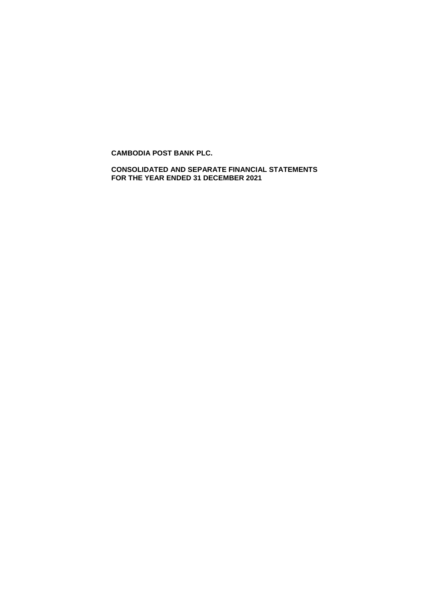**CONSOLIDATED AND SEPARATE FINANCIAL STATEMENTS FOR THE YEAR ENDED 31 DECEMBER 2021**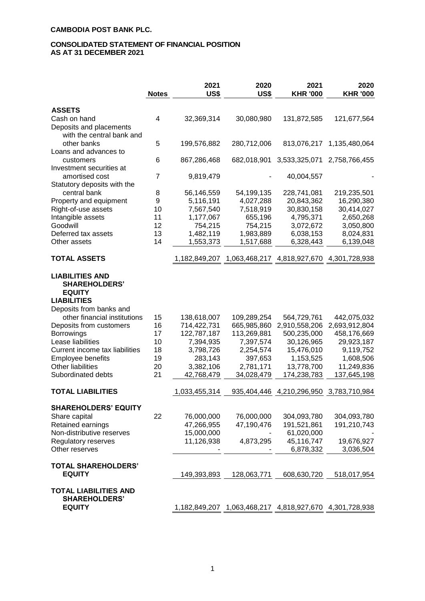# **CONSOLIDATED STATEMENT OF FINANCIAL POSITION AS AT 31 DECEMBER 2021**

|                                                                   | <b>Notes</b> | 2021<br>US\$            | 2020<br>US\$            | 2021<br><b>KHR '000</b>                                 | 2020<br><b>KHR '000</b>   |
|-------------------------------------------------------------------|--------------|-------------------------|-------------------------|---------------------------------------------------------|---------------------------|
| <b>ASSETS</b>                                                     |              |                         |                         |                                                         |                           |
| Cash on hand<br>Deposits and placements                           | 4            | 32,369,314              | 30,080,980              | 131,872,585                                             | 121,677,564               |
| with the central bank and<br>other banks<br>Loans and advances to | 5            | 199,576,882             | 280,712,006             | 813,076,217                                             | 1,135,480,064             |
| customers<br>Investment securities at                             | 6            | 867,286,468             | 682,018,901             | 3,533,325,071                                           | 2,758,766,455             |
| amortised cost<br>Statutory deposits with the                     | 7            | 9,819,479               |                         | 40,004,557                                              |                           |
| central bank                                                      | 8            | 56,146,559              | 54,199,135              | 228,741,081                                             | 219,235,501               |
| Property and equipment                                            | 9            | 5,116,191               | 4,027,288               | 20,843,362                                              | 16,290,380                |
| Right-of-use assets                                               | 10           | 7,567,540               | 7,518,919               | 30,830,158                                              | 30,414,027                |
| Intangible assets                                                 | 11           | 1,177,067               | 655,196                 | 4,795,371                                               | 2,650,268                 |
| Goodwill                                                          | 12           | 754,215                 | 754,215                 | 3,072,672                                               | 3,050,800                 |
| Deferred tax assets                                               | 13           | 1,482,119               | 1,983,889               | 6,038,153                                               | 8,024,831                 |
| Other assets                                                      | 14           | 1,553,373               | 1,517,688               | 6,328,443                                               | 6,139,048                 |
| <b>TOTAL ASSETS</b>                                               |              |                         |                         | 1,182,849,207 1,063,468,217 4,818,927,670 4,301,728,938 |                           |
| <b>LIABILITIES AND</b><br><b>SHAREHOLDERS'</b><br><b>EQUITY</b>   |              |                         |                         |                                                         |                           |
| <b>LIABILITIES</b>                                                |              |                         |                         |                                                         |                           |
| Deposits from banks and                                           |              |                         |                         |                                                         |                           |
| other financial institutions                                      | 15           | 138,618,007             | 109,289,254             | 564,729,761                                             | 442,075,032               |
| Deposits from customers                                           | 16           | 714,422,731             | 665,985,860             | 2,910,558,206                                           | 2,693,912,804             |
| Borrowings                                                        | 17           | 122,787,187             | 113,269,881             | 500,235,000                                             | 458,176,669               |
| Lease liabilities                                                 | 10           | 7,394,935               | 7,397,574               | 30,126,965                                              | 29,923,187                |
| Current income tax liabilities                                    | 18           | 3,798,726               | 2,254,574               | 15,476,010                                              | 9,119,752                 |
| Employee benefits                                                 | 19           | 283,143                 | 397,653                 | 1,153,525                                               | 1,608,506                 |
| <b>Other liabilities</b><br>Subordinated debts                    | 20<br>21     | 3,382,106<br>42,768,479 | 2,781,171<br>34,028,479 | 13,778,700<br>174,238,783                               | 11,249,836<br>137,645,198 |
| <b>TOTAL LIABILITIES</b>                                          |              | 1,033,455,314           |                         | 935,404,446 4,210,296,950 3,783,710,984                 |                           |
|                                                                   |              |                         |                         |                                                         |                           |
| <b>SHAREHOLDERS' EQUITY</b>                                       |              |                         |                         |                                                         |                           |
| Share capital                                                     | 22           | 76,000,000              | 76,000,000              | 304,093,780                                             | 304,093,780               |
| Retained earnings                                                 |              | 47,266,955              | 47,190,476              | 191,521,861                                             | 191,210,743               |
| Non-distributive reserves                                         |              | 15,000,000              |                         | 61,020,000                                              |                           |
| Regulatory reserves<br>Other reserves                             |              | 11,126,938              | 4,873,295               | 45,116,747<br>6,878,332                                 | 19,676,927<br>3,036,504   |
| <b>TOTAL SHAREHOLDERS'</b>                                        |              |                         |                         |                                                         |                           |
| <b>EQUITY</b>                                                     |              | 149,393,893             | 128,063,771             | 608,630,720                                             | 518,017,954               |
| <b>TOTAL LIABILITIES AND</b><br><b>SHAREHOLDERS'</b>              |              |                         |                         |                                                         |                           |
| <b>EQUITY</b>                                                     |              |                         |                         | 1,182,849,207 1,063,468,217 4,818,927,670 4,301,728,938 |                           |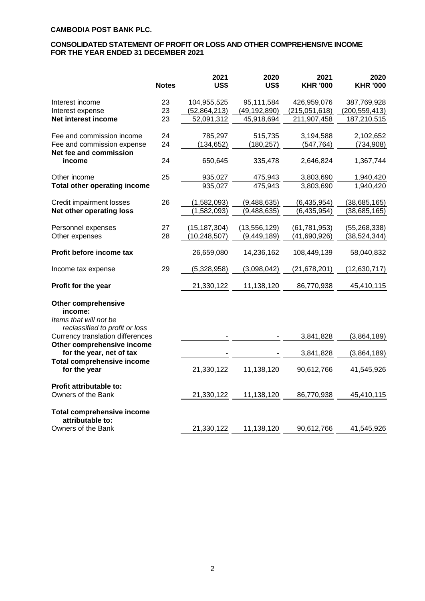### **CONSOLIDATED STATEMENT OF PROFIT OR LOSS AND OTHER COMPREHENSIVE INCOME FOR THE YEAR ENDED 31 DECEMBER 2021**

|                                                                    | <b>Notes</b> | 2021<br><b>US\$</b> | 2020<br><b>US\$</b>      | 2021<br><b>KHR '000</b> | 2020<br><b>KHR '000</b> |
|--------------------------------------------------------------------|--------------|---------------------|--------------------------|-------------------------|-------------------------|
|                                                                    |              |                     |                          |                         |                         |
| Interest income                                                    | 23           | 104,955,525         | 95,111,584               | 426,959,076             | 387,769,928             |
| Interest expense                                                   | 23           | (52, 864, 213)      | (49, 192, 890)           | (215,051,618)           | (200, 559, 413)         |
| Net interest income                                                | 23           | 52,091,312          | 45,918,694               | 211,907,458             | 187,210,515             |
| Fee and commission income                                          | 24           | 785,297             | 515,735                  | 3,194,588               | 2,102,652               |
| Fee and commission expense                                         | 24           | (134, 652)          | (180, 257)               | (547, 764)              | (734, 908)              |
| Net fee and commission                                             |              |                     |                          |                         |                         |
| income                                                             | 24           | 650,645             | 335,478                  | 2,646,824               | 1,367,744               |
| Other income                                                       | 25           | 935,027             | 475,943                  | 3,803,690               | 1,940,420               |
| <b>Total other operating income</b>                                |              | 935,027             | 475,943                  | 3,803,690               | 1,940,420               |
| Credit impairment losses                                           | 26           | (1,582,093)         | (9,488,635)              | (6, 435, 954)           | (38,685,165)            |
| Net other operating loss                                           |              | (1,582,093)         | $\overline{(9,}488,635)$ | (6, 435, 954)           | (38, 685, 165)          |
|                                                                    |              |                     |                          |                         |                         |
| Personnel expenses                                                 | 27           | (15, 187, 304)      | (13, 556, 129)           | (61, 781, 953)          | (55, 268, 338)          |
| Other expenses                                                     | 28           | (10, 248, 507)      | (9, 449, 189)            | (41,690,926)            | (38, 524, 344)          |
|                                                                    |              |                     |                          |                         |                         |
| Profit before income tax                                           |              | 26,659,080          | 14,236,162               | 108,449,139             | 58,040,832              |
| Income tax expense                                                 | 29           | (5,328,958)         | (3,098,042)              | (21, 678, 201)          | (12, 630, 717)          |
| Profit for the year                                                |              | 21,330,122          | 11,138,120               | 86,770,938              | 45,410,115              |
| <b>Other comprehensive</b><br>income:<br>Items that will not be    |              |                     |                          |                         |                         |
| reclassified to profit or loss<br>Currency translation differences |              |                     |                          | 3,841,828               | (3,864,189)             |
| Other comprehensive income<br>for the year, net of tax             |              |                     |                          | 3,841,828               | (3,864,189)             |
| <b>Total comprehensive income</b><br>for the year                  |              | 21,330,122          | 11,138,120               | 90,612,766              | 41,545,926              |
| <b>Profit attributable to:</b>                                     |              |                     |                          |                         |                         |
| Owners of the Bank                                                 |              | 21,330,122          | 11,138,120               | 86,770,938              | 45,410,115              |
| <b>Total comprehensive income</b><br>attributable to:              |              |                     |                          |                         |                         |
| Owners of the Bank                                                 |              | 21,330,122          | 11,138,120               | 90,612,766              | 41,545,926              |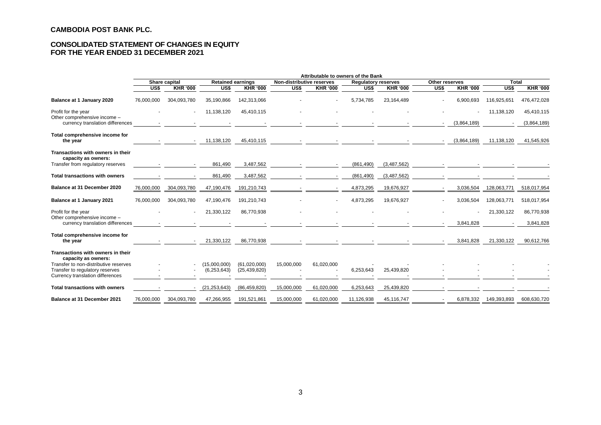### **CONSOLIDATED STATEMENT OF CHANGES IN EQUITY FOR THE YEAR ENDED 31 DECEMBER 2021**

|                                                                          | Attributable to owners of the Bank |                 |                               |                                |                           |                                   |                            |                 |                  |                 |              |                 |
|--------------------------------------------------------------------------|------------------------------------|-----------------|-------------------------------|--------------------------------|---------------------------|-----------------------------------|----------------------------|-----------------|------------------|-----------------|--------------|-----------------|
|                                                                          | Share capital                      |                 | <b>Retained earnings</b>      |                                | Non-distributive reserves |                                   | <b>Regulatory reserves</b> |                 | Other reserves   |                 | <b>Total</b> |                 |
|                                                                          | US\$                               | <b>KHR '000</b> | US\$                          | <b>KHR '000</b>                | US\$                      | <b>KHR '000</b>                   | US\$                       | <b>KHR '000</b> | $\overline{USS}$ | <b>KHR '000</b> | US\$         | <b>KHR '000</b> |
| Balance at 1 January 2020                                                | 76,000,000                         | 304.093.780     | 35,190,866                    | 142,313,066                    |                           |                                   | 5.734.785                  | 23.164.489      |                  | 6.900.693       | 116,925,651  | 476,472,028     |
| Profit for the year<br>Other comprehensive income -                      |                                    |                 | 11,138,120                    | 45,410,115                     |                           |                                   |                            |                 |                  |                 | 11,138,120   | 45,410,115      |
| currency translation differences                                         |                                    |                 |                               |                                |                           |                                   |                            |                 |                  | (3,864,189)     |              | (3,864,189)     |
| Total comprehensive income for<br>the year                               |                                    |                 | 11,138,120                    | 45,410,115                     |                           | the control of the control of the |                            |                 |                  | (3,864,189)     | 11,138,120   | 41,545,926      |
| Transactions with owners in their<br>capacity as owners:                 |                                    |                 |                               |                                |                           |                                   |                            |                 |                  |                 |              |                 |
| Transfer from regulatory reserves                                        |                                    |                 | 861,490                       | 3,487,562                      |                           |                                   | (861, 490)                 | (3,487,562)     |                  |                 |              |                 |
| <b>Total transactions with owners</b>                                    |                                    |                 | 861,490                       | 3,487,562                      |                           |                                   | (861, 490)                 | (3,487,562)     |                  |                 |              |                 |
| Balance at 31 December 2020                                              | 76,000,000                         | 304,093,780     | 47,190,476                    | 191,210,743                    |                           |                                   | 4,873,295                  | 19,676,927      |                  | 3,036,504       | 128,063,771  | 518,017,954     |
| Balance at 1 January 2021                                                | 76,000,000                         | 304,093,780     | 47,190,476                    | 191,210,743                    |                           |                                   | 4,873,295                  | 19,676,927      |                  | 3,036,504       | 128,063,771  | 518,017,954     |
| Profit for the year<br>Other comprehensive income -                      |                                    |                 | 21,330,122                    | 86,770,938                     |                           |                                   |                            |                 |                  |                 | 21,330,122   | 86,770,938      |
| currency translation differences                                         |                                    |                 |                               |                                |                           |                                   |                            |                 |                  | 3.841.828       |              | 3,841,828       |
| Total comprehensive income for<br>the year                               |                                    |                 | 21,330,122                    | 86,770,938                     |                           |                                   |                            |                 |                  | 3,841,828       | 21,330,122   | 90,612,766      |
| Transactions with owners in their<br>capacity as owners:                 |                                    |                 |                               |                                |                           |                                   |                            |                 |                  |                 |              |                 |
| Transfer to non-distributive reserves<br>Transfer to regulatory reserves |                                    |                 | (15,000,000)<br>(6, 253, 643) | (61,020,000)<br>(25, 439, 820) | 15,000,000                | 61,020,000                        | 6,253,643                  | 25,439,820      |                  |                 |              |                 |
| Currency translation differences                                         |                                    |                 |                               |                                |                           |                                   |                            |                 |                  |                 |              |                 |
| <b>Total transactions with owners</b>                                    |                                    |                 | (21, 253, 643)                | (86, 459, 820)                 | 15,000,000                | 61,020,000                        | 6,253,643                  | 25,439,820      |                  |                 |              |                 |
| <b>Balance at 31 December 2021</b>                                       | 76,000,000                         | 304,093,780     | 47,266,955                    | 191,521,861                    | 15,000,000                | 61,020,000                        | 11,126,938                 | 45,116,747      |                  | 6,878,332       | 149,393,893  | 608,630,720     |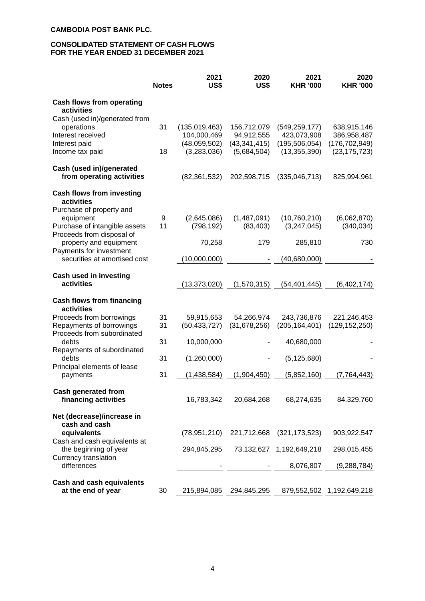#### **CONSOLIDATED STATEMENT OF CASH FLOWS FOR THE YEAR ENDED 31 DECEMBER 2021**

|                                                                                | <b>Notes</b> | 2021<br>US\$                 | 2020<br>US\$               | 2021<br><b>KHR '000</b>        | 2020<br><b>KHR '000</b>        |
|--------------------------------------------------------------------------------|--------------|------------------------------|----------------------------|--------------------------------|--------------------------------|
| <b>Cash flows from operating</b><br>activities                                 |              |                              |                            |                                |                                |
| Cash (used in)/generated from                                                  |              |                              |                            |                                |                                |
| operations<br>Interest received                                                | 31           | (135,019,463)<br>104,000,469 | 156,712,079<br>94,912,555  | (549, 259, 177)<br>423,073,908 | 638,915,146<br>386,958,487     |
| Interest paid                                                                  |              | (48,059,502)                 | (43, 341, 415)             | (195, 506, 054)                | (176, 702, 949)                |
| Income tax paid                                                                | 18           | (3,283,036)                  | (5,684,504)                | (13, 355, 390)                 | (23, 175, 723)                 |
| Cash (used in)/generated<br>from operating activities                          |              | (82, 361, 532)               | 202,598,715                | (335,046,713)                  | 825,994,961                    |
| <b>Cash flows from investing</b><br>activities                                 |              |                              |                            |                                |                                |
| Purchase of property and                                                       |              |                              |                            |                                |                                |
| equipment<br>Purchase of intangible assets                                     | 9<br>11      | (2,645,086)<br>(798, 192)    | (1,487,091)<br>(83, 403)   | (10,760,210)<br>(3,247,045)    | (6,062,870)<br>(340, 034)      |
| Proceeds from disposal of<br>property and equipment<br>Payments for investment |              | 70,258                       | 179                        | 285,810                        | 730                            |
| securities at amortised cost                                                   |              | (10,000,000)                 |                            | (40,680,000)                   |                                |
| Cash used in investing<br>activities                                           |              | (13,373,020)                 | (1,570,315)                | (54, 401, 445)                 | (6,402,174)                    |
|                                                                                |              |                              |                            |                                |                                |
| <b>Cash flows from financing</b><br>activities                                 |              |                              |                            |                                |                                |
| Proceeds from borrowings<br>Repayments of borrowings                           | 31<br>31     | 59,915,653<br>(50, 433, 727) | 54,266,974<br>(31,678,256) | 243,736,876<br>(205, 164, 401) | 221,246,453<br>(129, 152, 250) |
| Proceeds from subordinated                                                     |              |                              |                            |                                |                                |
| debts                                                                          | 31           | 10,000,000                   |                            | 40,680,000                     |                                |
| Repayments of subordinated<br>debts                                            | 31           | (1,260,000)                  |                            | (5, 125, 680)                  |                                |
| Principal elements of lease                                                    |              |                              |                            |                                |                                |
| payments                                                                       | 31           | (1,438,584)                  | (1,904,450)                | (5,852,160)                    | (7, 764, 443)                  |
| <b>Cash generated from</b>                                                     |              |                              |                            |                                |                                |
| financing activities                                                           |              | 16,783,342                   | 20,684,268                 | 68,274,635                     | 84,329,760                     |
| Net (decrease)/increase in                                                     |              |                              |                            |                                |                                |
| cash and cash<br>equivalents<br>Cash and cash equivalents at                   |              | (78, 951, 210)               |                            | 221,712,668 (321,173,523)      | 903,922,547                    |
| the beginning of year<br>Currency translation                                  |              | 294,845,295                  |                            | 73,132,627 1,192,649,218       | 298,015,455                    |
| differences                                                                    |              |                              |                            | 8,076,807                      | (9, 288, 784)                  |
| <b>Cash and cash equivalents</b>                                               |              |                              |                            |                                |                                |
| at the end of year                                                             | 30           | 215,894,085                  | 294,845,295                |                                | 879,552,502 1,192,649,218      |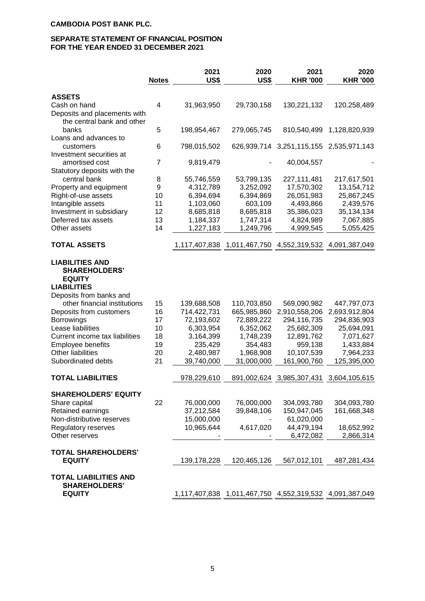### **SEPARATE STATEMENT OF FINANCIAL POSITION FOR THE YEAR ENDED 31 DECEMBER 2021**

|                                                                                                                  | <b>Notes</b> | 2021<br>US\$  | 2020<br>US\$                                            | 2021<br><b>KHR '000</b>                 | 2020<br><b>KHR '000</b> |
|------------------------------------------------------------------------------------------------------------------|--------------|---------------|---------------------------------------------------------|-----------------------------------------|-------------------------|
| <b>ASSETS</b>                                                                                                    |              |               |                                                         |                                         |                         |
| Cash on hand<br>Deposits and placements with<br>the central bank and other                                       | 4            | 31,963,950    | 29,730,158                                              | 130,221,132                             | 120,258,489             |
| banks<br>Loans and advances to                                                                                   | 5            | 198,954,467   | 279,065,745                                             | 810,540,499                             | 1,128,820,939           |
| customers<br>Investment securities at                                                                            | 6            | 798,015,502   |                                                         | 626,939,714 3,251,115,155               | 2,535,971,143           |
| amortised cost<br>Statutory deposits with the                                                                    | 7            | 9,819,479     |                                                         | 40,004,557                              |                         |
| central bank                                                                                                     | 8            | 55,746,559    | 53,799,135                                              | 227, 111, 481                           | 217,617,501             |
| Property and equipment                                                                                           | 9            | 4,312,789     | 3,252,092                                               | 17,570,302                              | 13, 154, 712            |
| Right-of-use assets                                                                                              | 10           | 6,394,694     | 6,394,869                                               | 26,051,983                              | 25,867,245              |
| Intangible assets                                                                                                | 11           | 1,103,060     | 603,109                                                 | 4,493,866                               | 2,439,576               |
| Investment in subsidiary                                                                                         | 12           | 8,685,818     | 8,685,818                                               | 35,386,023                              | 35,134,134              |
| Deferred tax assets                                                                                              | 13           | 1,184,337     | 1,747,314                                               | 4,824,989                               | 7,067,885               |
| Other assets                                                                                                     | 14           | 1,227,183     | 1,249,796                                               | 4,999,545                               | 5,055,425               |
| <b>TOTAL ASSETS</b>                                                                                              |              |               | 1,117,407,838 1,011,467,750 4,552,319,532 4,091,387,049 |                                         |                         |
| <b>LIABILITIES AND</b><br><b>SHAREHOLDERS'</b><br><b>EQUITY</b><br><b>LIABILITIES</b><br>Deposits from banks and |              |               |                                                         |                                         |                         |
| other financial institutions                                                                                     | 15           | 139,688,508   | 110,703,850                                             | 569,090,982                             | 447,797,073             |
| Deposits from customers                                                                                          | 16           | 714,422,731   | 665,985,860                                             | 2,910,558,206                           | 2,693,912,804           |
| <b>Borrowings</b>                                                                                                | 17           | 72,193,602    | 72,889,222                                              | 294,116,735                             | 294,836,903             |
| Lease liabilities                                                                                                | 10           | 6,303,954     | 6,352,062                                               | 25,682,309                              | 25,694,091              |
| Current income tax liabilities                                                                                   | 18           | 3,164,399     | 1,748,239                                               | 12,891,762                              | 7,071,627               |
| Employee benefits                                                                                                | 19           | 235,429       | 354,483                                                 | 959,138                                 | 1,433,884               |
| Other liabilities                                                                                                | 20           | 2,480,987     | 1,968,908                                               | 10,107,539                              | 7,964,233               |
| Subordinated debts                                                                                               | 21           | 39,740,000    | 31,000,000                                              | 161,900,760                             | 125,395,000             |
| <b>TOTAL LIABILITIES</b>                                                                                         |              | 978,229,610   |                                                         | 891,002,624 3,985,307,431 3,604,105,615 |                         |
| <b>SHAREHOLDERS' EQUITY</b>                                                                                      |              |               |                                                         |                                         |                         |
| Share capital                                                                                                    | 22           | 76,000,000    | 76,000,000                                              | 304,093,780                             | 304,093,780             |
| Retained earnings                                                                                                |              | 37,212,584    | 39,848,106                                              | 150,947,045                             | 161,668,348             |
| Non-distributive reserves                                                                                        |              | 15,000,000    |                                                         | 61,020,000                              |                         |
| Regulatory reserves                                                                                              |              | 10,965,644    | 4,617,020                                               | 44,479,194                              | 18,652,992              |
| Other reserves                                                                                                   |              |               |                                                         | 6,472,082                               | 2,866,314               |
| <b>TOTAL SHAREHOLDERS'</b>                                                                                       |              |               |                                                         |                                         |                         |
| <b>EQUITY</b>                                                                                                    |              | 139, 178, 228 | 120,465,126                                             | 567,012,101                             | 487,281,434             |
| <b>TOTAL LIABILITIES AND</b><br><b>SHAREHOLDERS'</b>                                                             |              |               |                                                         |                                         |                         |
| <b>EQUITY</b>                                                                                                    |              |               | 1,117,407,838 1,011,467,750 4,552,319,532 4,091,387,049 |                                         |                         |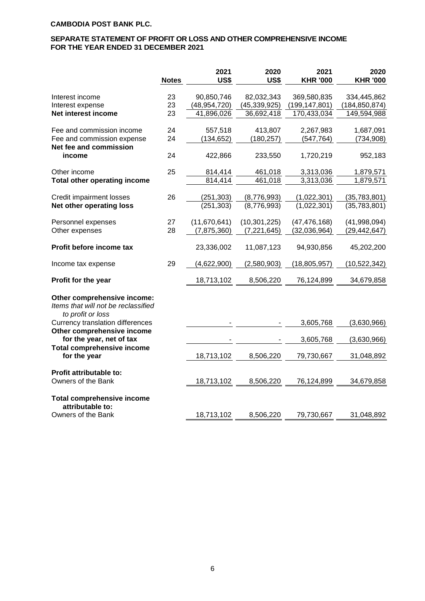### **SEPARATE STATEMENT OF PROFIT OR LOSS AND OTHER COMPREHENSIVE INCOME FOR THE YEAR ENDED 31 DECEMBER 2021**

|                                                                                             | <b>Notes</b> | 2021<br>US\$   | 2020<br><b>US\$</b> | 2021<br><b>KHR '000</b> | 2020<br><b>KHR '000</b> |
|---------------------------------------------------------------------------------------------|--------------|----------------|---------------------|-------------------------|-------------------------|
| Interest income                                                                             | 23           | 90,850,746     | 82,032,343          | 369,580,835             | 334,445,862             |
| Interest expense                                                                            | 23           | (48, 954, 720) | (45, 339, 925)      | (199, 147, 801)         | (184,850,874)           |
| Net interest income                                                                         | 23           | 41,896,026     | 36,692,418          | 170,433,034             | 149,594,988             |
| Fee and commission income                                                                   | 24           | 557,518        | 413,807             | 2,267,983               | 1,687,091               |
| Fee and commission expense                                                                  | 24           | (134, 652)     | (180, 257)          | (547, 764)              | (734, 908)              |
| Net fee and commission                                                                      |              |                |                     |                         |                         |
| income                                                                                      | 24           | 422,866        | 233,550             | 1,720,219               | 952,183                 |
| Other income                                                                                | 25           | 814,414        | 461,018             | 3,313,036               | 1,879,571               |
| <b>Total other operating income</b>                                                         |              | 814,414        | 461,018             | 3,313,036               | 1,879,571               |
| Credit impairment losses                                                                    | 26           | (251, 303)     | (8,776,993)         | (1,022,301)             | (35,783,801)            |
| Net other operating loss                                                                    |              | (251, 303)     | (8,776,993)         | (1,022,301)             | (35,783,801)            |
|                                                                                             |              |                |                     |                         |                         |
| Personnel expenses                                                                          | 27           | (11,670,641)   | (10, 301, 225)      | (47, 476, 168)          | (41,998,094)            |
| Other expenses                                                                              | 28           | (7, 875, 360)  | (7, 221, 645)       | (32,036,964)            | (29, 442, 647)          |
| Profit before income tax                                                                    |              | 23,336,002     | 11,087,123          | 94,930,856              | 45,202,200              |
| Income tax expense                                                                          | 29           | (4,622,900)    | (2,580,903)         | (18, 805, 957)          | (10, 522, 342)          |
| Profit for the year                                                                         |              | 18,713,102     | 8,506,220           | 76,124,899              | 34,679,858              |
| Other comprehensive income:<br>Items that will not be reclassified<br>to profit or loss     |              |                |                     |                         |                         |
| <b>Currency translation differences</b>                                                     |              |                |                     | 3,605,768               | (3,630,966)             |
| Other comprehensive income<br>for the year, net of tax<br><b>Total comprehensive income</b> |              |                |                     | 3,605,768               | (3,630,966)             |
| for the year                                                                                |              | 18,713,102     | 8,506,220           | 79,730,667              | 31,048,892              |
| <b>Profit attributable to:</b>                                                              |              |                |                     |                         |                         |
| Owners of the Bank                                                                          |              | 18,713,102     | 8,506,220           | 76,124,899              | 34,679,858              |
| <b>Total comprehensive income</b><br>attributable to:                                       |              |                |                     |                         |                         |
| Owners of the Bank                                                                          |              | 18,713,102     | 8,506,220           | 79,730,667              | 31,048,892              |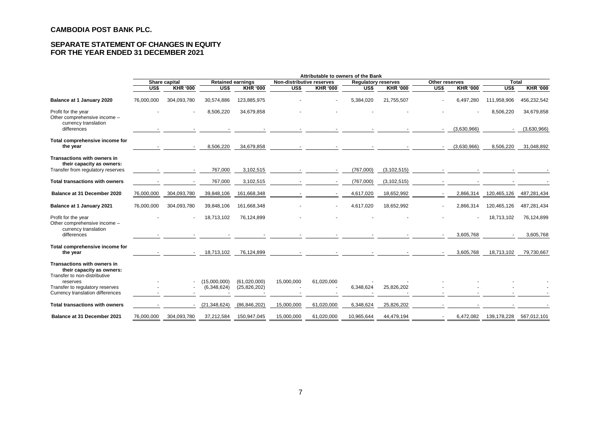### **SEPARATE STATEMENT OF CHANGES IN EQUITY FOR THE YEAR ENDED 31 DECEMBER 2021**

|                                                                                               | Attributable to owners of the Bank        |                 |                             |                                |                           |                                        |                            |                 |                |                 |                  |                 |  |
|-----------------------------------------------------------------------------------------------|-------------------------------------------|-----------------|-----------------------------|--------------------------------|---------------------------|----------------------------------------|----------------------------|-----------------|----------------|-----------------|------------------|-----------------|--|
|                                                                                               | Share capital<br><b>Retained earnings</b> |                 |                             |                                | Non-distributive reserves |                                        | <b>Requlatory reserves</b> |                 | Other reserves |                 |                  | <b>Total</b>    |  |
|                                                                                               | US\$                                      | <b>KHR '000</b> | US\$                        | <b>KHR '000</b>                | $\overline{USS}$          | <b>KHR '000</b>                        | $\overline{USS}$           | <b>KHR '000</b> | US\$           | <b>KHR '000</b> | $\overline{USS}$ | <b>KHR '000</b> |  |
| Balance at 1 January 2020                                                                     | 76,000,000                                | 304,093,780     | 30,574,886                  | 123,885,975                    |                           |                                        | 5,384,020                  | 21,755,507      |                | 6,497,280       | 111,958,906      | 456,232,542     |  |
| Profit for the year<br>Other comprehensive income -<br>currency translation                   |                                           |                 | 8,506,220                   | 34,679,858                     |                           |                                        |                            |                 |                |                 | 8,506,220        | 34,679,858      |  |
| differences                                                                                   |                                           |                 |                             |                                |                           |                                        |                            |                 |                | (3,630,966)     |                  | (3,630,966)     |  |
| Total comprehensive income for<br>the year                                                    |                                           |                 | 8,506,220                   | 34,679,858                     |                           | $\sim$<br><b>All Contract Contract</b> |                            |                 |                | (3,630,966)     | 8,506,220        | 31,048,892      |  |
| Transactions with owners in<br>their capacity as owners:<br>Transfer from regulatory reserves |                                           |                 | 767,000                     | 3,102,515                      |                           |                                        | (767,000)                  | (3, 102, 515)   |                |                 |                  |                 |  |
|                                                                                               |                                           |                 |                             |                                |                           |                                        |                            |                 |                |                 |                  |                 |  |
| <b>Total transactions with owners</b>                                                         |                                           |                 | 767,000                     | 3,102,515                      |                           |                                        | (767,000)                  | (3, 102, 515)   |                |                 |                  |                 |  |
| Balance at 31 December 2020                                                                   | 76,000,000                                | 304,093,780     | 39,848,106                  | 161,668,348                    |                           |                                        | 4,617,020                  | 18,652,992      |                | 2,866,314       | 120,465,126      | 487,281,434     |  |
| Balance at 1 January 2021                                                                     | 76,000,000                                | 304,093,780     | 39,848,106                  | 161,668,348                    |                           |                                        | 4,617,020                  | 18,652,992      |                | 2,866,314       | 120,465,126      | 487,281,434     |  |
| Profit for the year<br>Other comprehensive income -<br>currency translation                   |                                           |                 | 18,713,102                  | 76,124,899                     |                           |                                        |                            |                 |                |                 | 18,713,102       | 76,124,899      |  |
| differences                                                                                   |                                           |                 |                             |                                |                           |                                        |                            |                 |                | 3,605,768       |                  | 3,605,768       |  |
| Total comprehensive income for<br>the year                                                    |                                           |                 | 18,713,102                  | 76,124,899                     |                           |                                        |                            |                 |                | 3,605,768       | 18,713,102       | 79,730,667      |  |
| Transactions with owners in<br>their capacity as owners:<br>Transfer to non-distributive      |                                           |                 |                             |                                |                           |                                        |                            |                 |                |                 |                  |                 |  |
| reserves<br>Transfer to regulatory reserves<br>Currency translation differences               |                                           |                 | (15,000,000)<br>(6,348,624) | (61,020,000)<br>(25, 826, 202) | 15,000,000                | 61,020,000                             | 6,348,624                  | 25,826,202      |                |                 |                  |                 |  |
| <b>Total transactions with owners</b>                                                         |                                           |                 | (21, 348, 624)              | (86, 846, 202)                 | 15,000,000                | 61,020,000                             | 6,348,624                  | 25,826,202      |                |                 |                  |                 |  |
| <b>Balance at 31 December 2021</b>                                                            | 76,000,000                                | 304,093,780     | 37,212,584                  | 150,947,045                    | 15,000,000                | 61,020,000                             | 10,965,644                 | 44,479,194      |                | 6,472,082       | 139,178,228      | 567,012,101     |  |